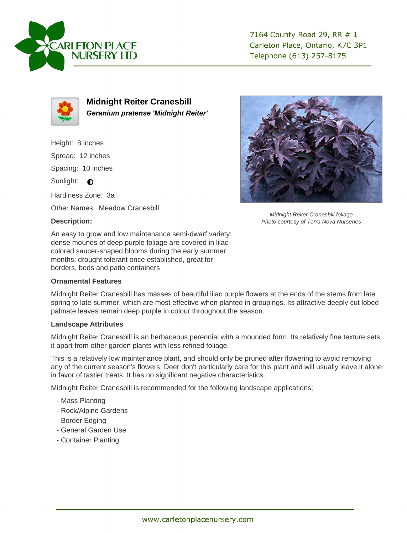

7164 County Road 29, RR # 1 Carleton Place, Ontario, K7C 3P1 Telephone (613) 257-8175



**Midnight Reiter Cranesbill Geranium pratense 'Midnight Reiter'**

Height: 8 inches Spread: 12 inches Spacing: 10 inches Sunlight:  $\bullet$ Hardiness Zone: 3a Other Names: Meadow Cranesbill

## **Description:**

Midnight Reiter Cranesbill foliage Photo courtesy of Terra Nova Nurseries

An easy to grow and low maintenance semi-dwarf variety; dense mounds of deep purple foliage are covered in lilac colored saucer-shaped blooms during the early summer months; drought tolerant once established, great for borders, beds and patio containers

## **Ornamental Features**

Midnight Reiter Cranesbill has masses of beautiful lilac purple flowers at the ends of the stems from late spring to late summer, which are most effective when planted in groupings. Its attractive deeply cut lobed palmate leaves remain deep purple in colour throughout the season.

## **Landscape Attributes**

Midnight Reiter Cranesbill is an herbaceous perennial with a mounded form. Its relatively fine texture sets it apart from other garden plants with less refined foliage.

This is a relatively low maintenance plant, and should only be pruned after flowering to avoid removing any of the current season's flowers. Deer don't particularly care for this plant and will usually leave it alone in favor of tastier treats. It has no significant negative characteristics.

Midnight Reiter Cranesbill is recommended for the following landscape applications;

- Mass Planting
- Rock/Alpine Gardens
- Border Edging
- General Garden Use
- Container Planting